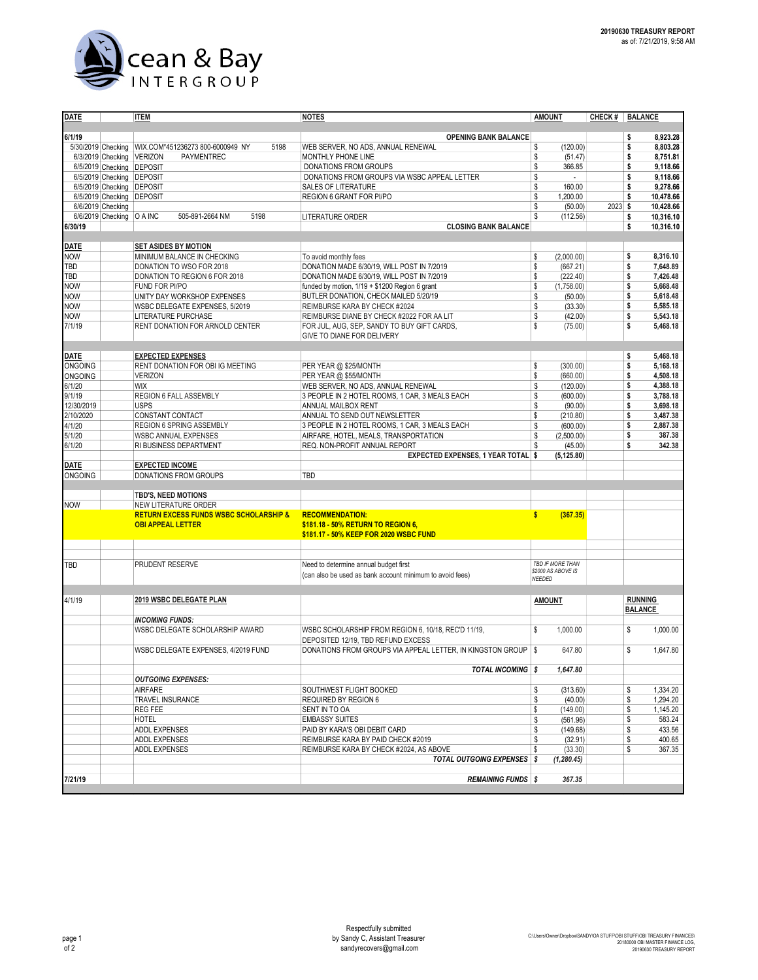

| <b>DATE</b>              |                             | <b>ITEM</b>                                                                   | <u>NOTES</u>                                                                         | <b>AMOUNT</b>                  |           | CHECK # BALANCE                    |  |  |
|--------------------------|-----------------------------|-------------------------------------------------------------------------------|--------------------------------------------------------------------------------------|--------------------------------|-----------|------------------------------------|--|--|
|                          |                             |                                                                               |                                                                                      |                                |           |                                    |  |  |
| 6/1/19                   |                             |                                                                               | <b>OPENING BANK BALANCE</b>                                                          |                                |           | 8,923.28<br>\$                     |  |  |
| 5/30/2019 Checking       |                             | WIX.COM*451236273 800-6000949 NY<br>5198                                      | WEB SERVER, NO ADS, ANNUAL RENEWAL                                                   | \$<br>(120.00)                 |           | \$<br>8.803.28                     |  |  |
|                          | 6/3/2019 Checking           | <b>VERIZON</b><br>PAYMENTREC                                                  | MONTHLY PHONE LINE                                                                   | \$<br>(51.47)                  |           | \$<br>8,751.81                     |  |  |
|                          | 6/5/2019 Checking           | <b>DEPOSIT</b>                                                                | DONATIONS FROM GROUPS                                                                | \$<br>366.85                   |           | \$<br>9,118.66                     |  |  |
|                          | 6/5/2019 Checking           | <b>DEPOSIT</b>                                                                | DONATIONS FROM GROUPS VIA WSBC APPEAL LETTER                                         | \$                             |           | \$<br>9,118.66                     |  |  |
|                          | 6/5/2019 Checking DEPOSIT   |                                                                               | SALES OF LITERATURE                                                                  | \$<br>160.00                   |           | 9,278.66<br>\$                     |  |  |
|                          | 6/5/2019 Checking           | <b>DEPOSIT</b>                                                                | REGION 6 GRANT FOR PI/PO                                                             | \$<br>1,200.00                 |           | \$<br>10,478.66                    |  |  |
|                          | 6/6/2019 Checking           | 505-891-2664 NM<br>5198                                                       | LITERATURE ORDER                                                                     | \$<br>(50.00)<br>\$            | $2023$ \$ | 10,428.66                          |  |  |
| 6/30/19                  | 6/6/2019 Checking   O A INC |                                                                               | <b>CLOSING BANK BALANCE</b>                                                          | (112.56)                       |           | 10,316.10<br>\$<br>\$<br>10,316.10 |  |  |
|                          |                             |                                                                               |                                                                                      |                                |           |                                    |  |  |
| <b>DATE</b>              |                             | <b>SET ASIDES BY MOTION</b>                                                   |                                                                                      |                                |           |                                    |  |  |
| <b>NOW</b>               |                             | MINIMUM BALANCE IN CHECKING                                                   | To avoid monthly fees                                                                | \$<br>(2,000.00)               |           | \$<br>8,316.10                     |  |  |
| TBD                      |                             | DONATION TO WSO FOR 2018                                                      | DONATION MADE 6/30/19, WILL POST IN 7/2019                                           | \$<br>(667.21)                 |           | \$<br>7,648.89                     |  |  |
| TBD                      |                             | DONATION TO REGION 6 FOR 2018                                                 | DONATION MADE 6/30/19, WILL POST IN 7/2019                                           | \$<br>(222.40)                 |           | \$<br>7.426.48                     |  |  |
| <b>NOW</b>               |                             | FUND FOR PI/PO                                                                | funded by motion, 1/19 + \$1200 Region 6 grant                                       | \$<br>(1,758.00)               |           | \$<br>5,668.48                     |  |  |
| <b>NOW</b>               |                             | UNITY DAY WORKSHOP EXPENSES                                                   | BUTLER DONATION, CHECK MAILED 5/20/19                                                | \$<br>(50.00)                  |           | \$<br>5,618.48                     |  |  |
| <b>NOW</b>               |                             | WSBC DELEGATE EXPENSES, 5/2019                                                | REIMBURSE KARA BY CHECK #2024                                                        | \$<br>(33.30)                  |           | \$<br>5,585.18                     |  |  |
| <b>NOW</b>               |                             | LITERATURE PURCHASE                                                           | REIMBURSE DIANE BY CHECK #2022 FOR AA LIT                                            | \$<br>(42.00)                  |           | \$<br>5,543.18                     |  |  |
| 7/1/19                   |                             | RENT DONATION FOR ARNOLD CENTER                                               | FOR JUL, AUG, SEP, SANDY TO BUY GIFT CARDS,                                          | \$<br>(75.00)                  |           | \$<br>5,468.18                     |  |  |
|                          |                             |                                                                               | GIVE TO DIANE FOR DELIVERY                                                           |                                |           |                                    |  |  |
|                          |                             |                                                                               |                                                                                      |                                |           |                                    |  |  |
| <b>DATE</b>              |                             | <b>EXPECTED EXPENSES</b>                                                      |                                                                                      |                                |           | \$<br>5.468.18                     |  |  |
| <b>ONGOING</b>           |                             | RENT DONATION FOR OBI IG MEETING                                              | PER YEAR @ \$25/MONTH<br>PER YEAR @ \$55/MONTH                                       | \$<br>(300.00)<br>\$           |           | \$<br>5,168.18<br>\$<br>4,508.18   |  |  |
| <b>ONGOING</b><br>6/1/20 |                             | <b>VERIZON</b><br><b>WIX</b>                                                  |                                                                                      | (660.00)                       |           | \$<br>4,388.18                     |  |  |
| 9/1/19                   |                             | <b>REGION 6 FALL ASSEMBLY</b>                                                 | WEB SERVER, NO ADS, ANNUAL RENEWAL<br>3 PEOPLE IN 2 HOTEL ROOMS, 1 CAR, 3 MEALS EACH | \$<br>(120.00)<br>\$           |           | \$<br>3,788.18                     |  |  |
| 12/30/2019               |                             | <b>USPS</b>                                                                   | ANNUAL MAILBOX RENT                                                                  | (600.00)<br>\$<br>(90.00)      |           | \$<br>3,698.18                     |  |  |
| 2/10/2020                |                             | CONSTANT CONTACT                                                              | ANNUAL TO SEND OUT NEWSLETTER                                                        | \$<br>(210.80)                 |           | \$<br>3.487.38                     |  |  |
| 4/1/20                   |                             | REGION 6 SPRING ASSEMBLY                                                      | 3 PEOPLE IN 2 HOTEL ROOMS, 1 CAR, 3 MEALS EACH                                       | \$<br>(600.00)                 |           | \$<br>2.887.38                     |  |  |
| 5/1/20                   |                             | <b>WSBC ANNUAL EXPENSES</b>                                                   | AIRFARE, HOTEL, MEALS, TRANSPORTATION                                                | \$<br>(2,500.00)               |           | \$<br>387.38                       |  |  |
| 6/1/20                   |                             | RI BUSINESS DEPARTMENT                                                        | REQ. NON-PROFIT ANNUAL REPORT                                                        | \$<br>(45.00)                  |           | \$<br>342.38                       |  |  |
|                          |                             |                                                                               | EXPECTED EXPENSES, 1 YEAR TOTAL \$                                                   | (5, 125.80)                    |           |                                    |  |  |
| <b>DATE</b>              |                             | <b>EXPECTED INCOME</b>                                                        |                                                                                      |                                |           |                                    |  |  |
| <b>ONGOING</b>           |                             | <b>DONATIONS FROM GROUPS</b>                                                  | TBD                                                                                  |                                |           |                                    |  |  |
|                          |                             |                                                                               |                                                                                      |                                |           |                                    |  |  |
|                          |                             | TBD'S, NEED MOTIONS                                                           |                                                                                      |                                |           |                                    |  |  |
| <b>NOW</b>               |                             | NEW LITERATURE ORDER                                                          |                                                                                      |                                |           |                                    |  |  |
|                          |                             | <b>RETURN EXCESS FUNDS WSBC SCHOLARSHIP &amp;</b><br><b>OBI APPEAL LETTER</b> | <b>RECOMMENDATION:</b><br>\$181.18 - 50% RETURN TO REGION 6,                         | $\mathbf{s}$<br>(367.35)       |           |                                    |  |  |
|                          |                             |                                                                               | \$181.17 - 50% KEEP FOR 2020 WSBC FUND                                               |                                |           |                                    |  |  |
|                          |                             |                                                                               |                                                                                      |                                |           |                                    |  |  |
|                          |                             |                                                                               |                                                                                      |                                |           |                                    |  |  |
| TBD                      |                             | PRUDENT RESERVE                                                               | Need to determine annual budget first                                                | TBD IF MORE THAN               |           |                                    |  |  |
|                          |                             |                                                                               | (can also be used as bank account minimum to avoid fees)                             | \$2000 AS ABOVE IS<br>NEEDED   |           |                                    |  |  |
|                          |                             |                                                                               |                                                                                      |                                |           |                                    |  |  |
| 4/1/19                   |                             | 2019 WSBC DELEGATE PLAN                                                       |                                                                                      | <b>AMOUNT</b>                  |           | <b>RUNNING</b>                     |  |  |
|                          |                             |                                                                               |                                                                                      |                                |           | <b>BALANCE</b>                     |  |  |
|                          |                             | <b>INCOMING FUNDS:</b>                                                        |                                                                                      |                                |           |                                    |  |  |
|                          |                             | WSBC DELEGATE SCHOLARSHIP AWARD                                               | WSBC SCHOLARSHIP FROM REGION 6, 10/18, REC'D 11/19,                                  | \$<br>1,000.00                 |           | \$<br>1,000.00                     |  |  |
|                          |                             |                                                                               | DEPOSITED 12/19, TBD REFUND EXCESS                                                   |                                |           |                                    |  |  |
|                          |                             | WSBC DELEGATE EXPENSES, 4/2019 FUND                                           | DONATIONS FROM GROUPS VIA APPEAL LETTER, IN KINGSTON GROUP S                         | 647.80                         |           | \$<br>1,647.80                     |  |  |
|                          |                             |                                                                               |                                                                                      |                                |           |                                    |  |  |
|                          |                             |                                                                               | <b>TOTAL INCOMING \$</b>                                                             | 1,647.80                       |           |                                    |  |  |
|                          |                             | <b>OUTGOING EXPENSES:</b>                                                     |                                                                                      |                                |           |                                    |  |  |
|                          |                             | AIRFARE                                                                       | SOUTHWEST FLIGHT BOOKED                                                              | \$<br>(313.60)                 |           | \$<br>1,334.20                     |  |  |
|                          |                             | TRAVEL INSURANCE                                                              | REQUIRED BY REGION 6                                                                 | \$<br>(40.00)                  |           | \$<br>1,294.20                     |  |  |
|                          |                             | <b>REG FEE</b>                                                                | SENT IN TO OA                                                                        | \$<br>(149.00)                 |           | \$<br>1,145.20                     |  |  |
|                          |                             | HOTEL                                                                         | <b>EMBASSY SUITES</b>                                                                | \$<br>(561.96)                 |           | \$<br>583.24                       |  |  |
|                          |                             | <b>ADDL EXPENSES</b><br><b>ADDL EXPENSES</b>                                  | PAID BY KARA'S OBI DEBIT CARD<br>REIMBURSE KARA BY PAID CHECK #2019                  | \$<br>(149.68)                 |           | \$<br>433.56<br>\$                 |  |  |
|                          |                             | ADDL EXPENSES                                                                 | REIMBURSE KARA BY CHECK #2024, AS ABOVE                                              | \$<br>(32.91)<br>\$<br>(33.30) |           | 400.65<br>\$<br>367.35             |  |  |
|                          |                             |                                                                               | <b>TOTAL OUTGOING EXPENSES</b> \$                                                    | (1, 280.45)                    |           |                                    |  |  |
|                          |                             |                                                                               |                                                                                      |                                |           |                                    |  |  |
| 7/21/19                  |                             |                                                                               | <b>REMAINING FUNDS \$</b>                                                            | 367.35                         |           |                                    |  |  |
|                          |                             |                                                                               |                                                                                      |                                |           |                                    |  |  |